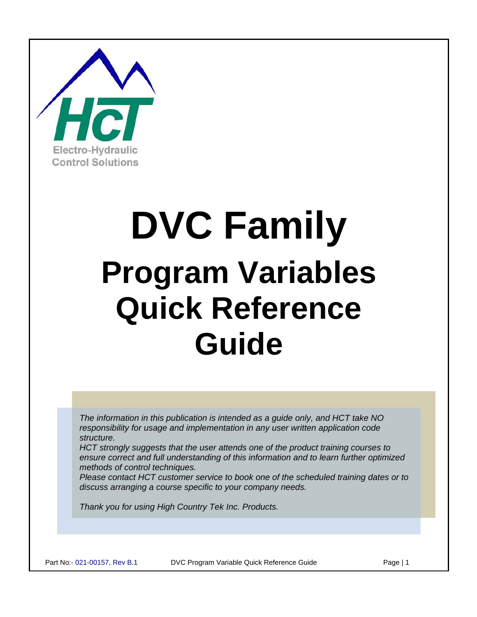

# **DVC Family Program Variables Quick Reference Guide**

*The information in this publication is intended as a guide only, and HCT take NO responsibility for usage and implementation in any user written application code structure.* 

*HCT strongly suggests that the user attends one of the product training courses to ensure correct and full understanding of this information and to learn further optimized methods of control techniques.* 

*Please contact HCT customer service to book one of the scheduled training dates or to discuss arranging a course specific to your company needs.* 

*Thank you for using High Country Tek Inc. Products.*

Part No:- 021-00157, Rev B.1 DVC Program Variable Quick Reference Guide Page | 1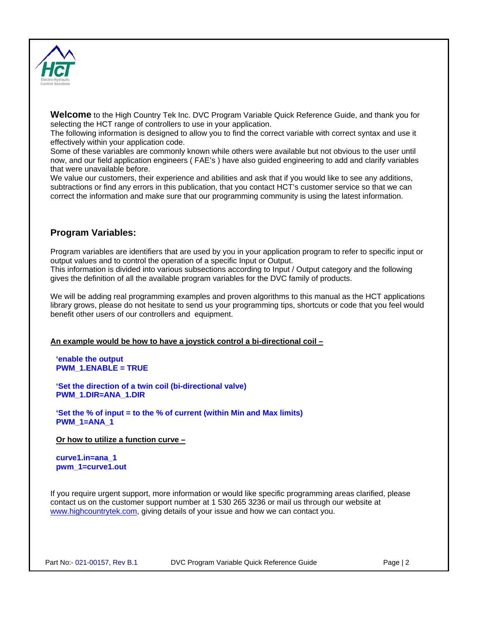

**Welcome** to the High Country Tek Inc. DVC Program Variable Quick Reference Guide, and thank you for selecting the HCT range of controllers to use in your application.

The following information is designed to allow you to find the correct variable with correct syntax and use it effectively within your application code.

Some of these variables are commonly known while others were available but not obvious to the user until now, and our field application engineers ( FAE's ) have also guided engineering to add and clarify variables that were unavailable before.

We value our customers, their experience and abilities and ask that if you would like to see any additions, subtractions or find any errors in this publication, that you contact HCT's customer service so that we can correct the information and make sure that our programming community is using the latest information.

#### **Program Variables:**

Program variables are identifiers that are used by you in your application program to refer to specific input or output values and to control the operation of a specific Input or Output. This information is divided into various subsections according to Input / Output category and the following gives the definition of all the available program variables for the DVC family of products.

We will be adding real programming examples and proven algorithms to this manual as the HCT applications library grows, please do not hesitate to send us your programming tips, shortcuts or code that you feel would benefit other users of our controllers and equipment.

#### **An example would be how to have a joystick control a bi-directional coil –**

**'enable the output PWM\_1.ENABLE = TRUE** 

**'Set the direction of a twin coil (bi-directional valve) PWM\_1.DIR=ANA\_1.DIR** 

**'Set the % of input = to the % of current (within Min and Max limits) PWM\_1=ANA\_1** 

**Or how to utilize a function curve –**

**curve1.in=ana\_1 pwm\_1=curve1.out** 

If you require urgent support, more information or would like specific programming areas clarified, please contact us on the customer support number at 1 530 265 3236 or mail us through our website at [www.highcountrytek.com,](http://www.highcountrytek.com/) giving details of your issue and how we can contact you.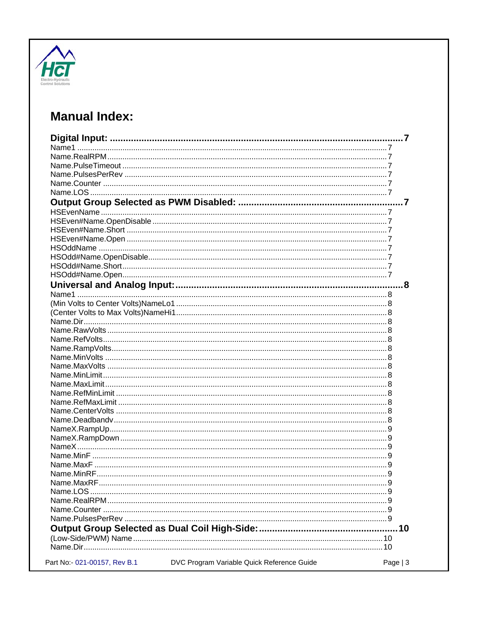

### **Manual Index:**

|                              |                                            | 9         |
|------------------------------|--------------------------------------------|-----------|
|                              |                                            |           |
|                              |                                            |           |
|                              |                                            |           |
|                              |                                            |           |
|                              |                                            |           |
|                              |                                            |           |
|                              |                                            |           |
|                              |                                            |           |
| Part No:- 021-00157, Rev B.1 | DVC Program Variable Quick Reference Guide | Page $ 3$ |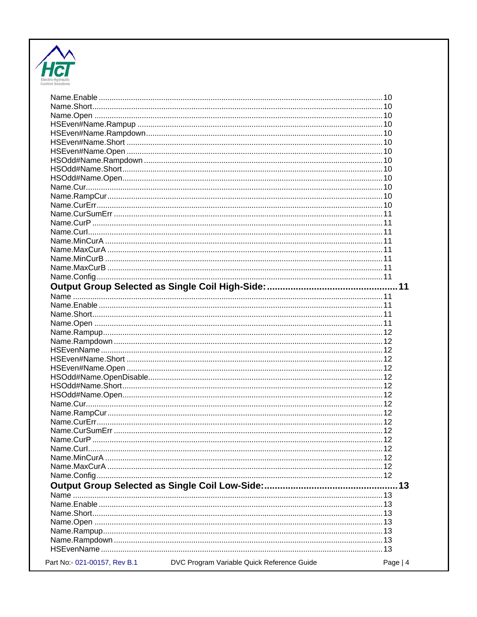

| Part No:- 021-00157, Rev B.1 | DVC Program Variable Quick Reference Guide | Page $ 4$ |
|------------------------------|--------------------------------------------|-----------|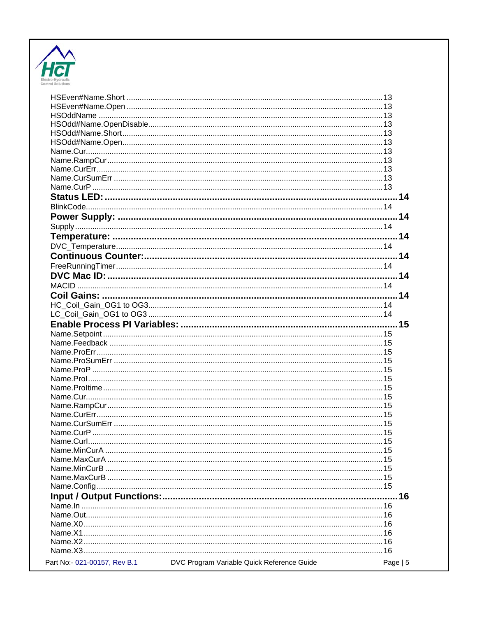

| Name Curl                    | $\sim$ 15                                  |            |
|------------------------------|--------------------------------------------|------------|
|                              |                                            |            |
|                              |                                            |            |
|                              |                                            |            |
|                              |                                            |            |
|                              |                                            |            |
|                              |                                            |            |
|                              |                                            |            |
|                              |                                            |            |
|                              |                                            |            |
|                              |                                            |            |
|                              |                                            |            |
|                              |                                            |            |
| Part No:- 021-00157, Rev B.1 | DVC Program Variable Quick Reference Guide | Page $  5$ |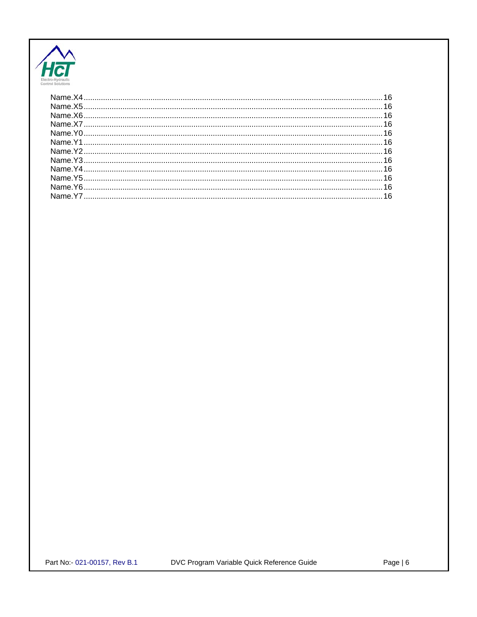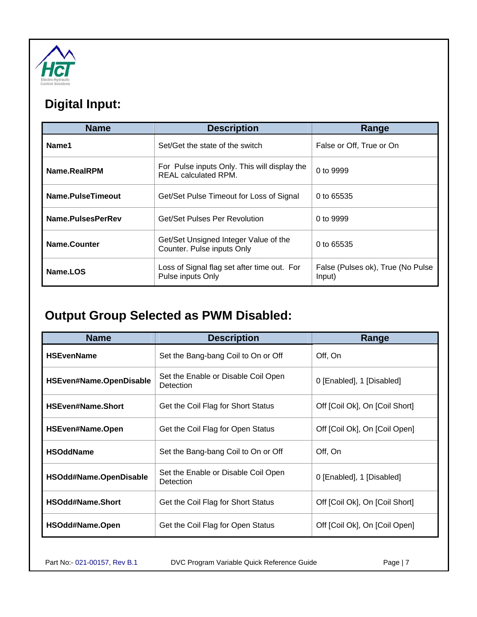<span id="page-6-0"></span>

## **Digital Input:**

| <b>Name</b>       | <b>Description</b>                                                   | Range                                       |
|-------------------|----------------------------------------------------------------------|---------------------------------------------|
| Name1             | Set/Get the state of the switch                                      | False or Off, True or On                    |
| Name.RealRPM      | For Pulse inputs Only. This will display the<br>REAL calculated RPM. | 0 to 9999                                   |
| Name.PulseTimeout | Get/Set Pulse Timeout for Loss of Signal                             | 0 to 65535                                  |
| Name.PulsesPerRev | Get/Set Pulses Per Revolution                                        | 0 to 9999                                   |
| Name.Counter      | Get/Set Unsigned Integer Value of the<br>Counter. Pulse inputs Only  | 0 to 65535                                  |
| Name.LOS          | Loss of Signal flag set after time out. For<br>Pulse inputs Only     | False (Pulses ok), True (No Pulse<br>Input) |

### **Output Group Selected as PWM Disabled:**

| <b>Name</b>              | <b>Description</b>                                      | Range                          |
|--------------------------|---------------------------------------------------------|--------------------------------|
| <b>HSEvenName</b>        | Set the Bang-bang Coil to On or Off                     | Off, On                        |
| HSEven#Name.OpenDisable  | Set the Enable or Disable Coil Open<br><b>Detection</b> | 0 [Enabled], 1 [Disabled]      |
| <b>HSEven#Name.Short</b> | Get the Coil Flag for Short Status                      | Off [Coil Ok], On [Coil Short] |
| <b>HSEven#Name.Open</b>  | Get the Coil Flag for Open Status                       | Off [Coil Ok], On [Coil Open]  |
| <b>HSOddName</b>         | Set the Bang-bang Coil to On or Off                     | Off, On                        |
| HSOdd#Name.OpenDisable   | Set the Enable or Disable Coil Open<br>Detection        | 0 [Enabled], 1 [Disabled]      |
| <b>HSOdd#Name.Short</b>  | Get the Coil Flag for Short Status                      | Off [Coil Ok], On [Coil Short] |
| HSOdd#Name.Open          | Get the Coil Flag for Open Status                       | Off [Coil Ok], On [Coil Open]  |

Part No:- 021-00157, Rev B.1 DVC Program Variable Quick Reference Guide Page | 7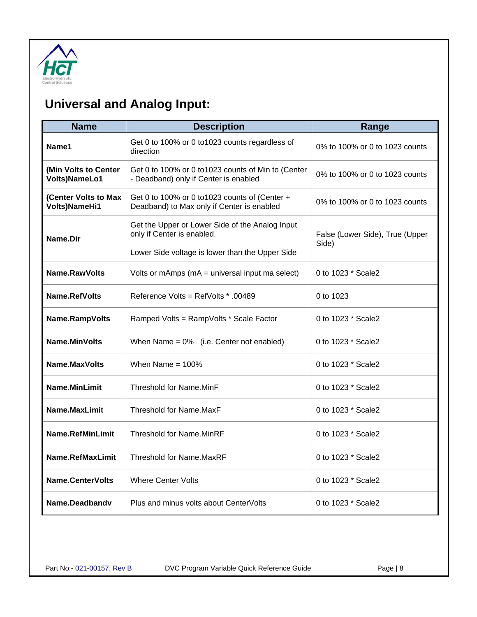<span id="page-7-0"></span>

## **Universal and Analog Input:**

| <b>Name</b>                                  | <b>Description</b>                                                                                                               | Range                                    |
|----------------------------------------------|----------------------------------------------------------------------------------------------------------------------------------|------------------------------------------|
| Name1                                        | Get 0 to 100% or 0 to1023 counts regardless of<br>direction                                                                      | 0% to 100% or 0 to 1023 counts           |
| (Min Volts to Center<br>Volts)NameLo1        | Get 0 to 100% or 0 to1023 counts of Min to (Center<br>- Deadband) only if Center is enabled                                      | 0% to 100% or 0 to 1023 counts           |
| (Center Volts to Max<br><b>Volts)NameHi1</b> | Get 0 to 100% or 0 to1023 counts of (Center +<br>Deadband) to Max only if Center is enabled                                      | 0% to 100% or 0 to 1023 counts           |
| Name.Dir                                     | Get the Upper or Lower Side of the Analog Input<br>only if Center is enabled.<br>Lower Side voltage is lower than the Upper Side | False (Lower Side), True (Upper<br>Side) |
| Name.RawVolts                                | Volts or mAmps ( $mA =$ universal input ma select)                                                                               | 0 to 1023 * Scale2                       |
| Name.RefVolts                                | Reference Volts = RefVolts * .00489                                                                                              | 0 to 1023                                |
| Name.RampVolts                               | Ramped Volts = RampVolts * Scale Factor                                                                                          | 0 to 1023 * Scale2                       |
| <b>Name.MinVolts</b>                         | When Name = $0\%$ (i.e. Center not enabled)                                                                                      | 0 to 1023 * Scale2                       |
| Name.MaxVolts                                | When Name = $100\%$                                                                                                              | 0 to 1023 * Scale2                       |
| <b>Name.MinLimit</b>                         | Threshold for Name.MinF                                                                                                          | 0 to 1023 * Scale2                       |
| Name.MaxLimit                                | Threshold for Name.MaxF                                                                                                          | 0 to 1023 * Scale2                       |
| <b>Name.RefMinLimit</b>                      | <b>Threshold for Name.MinRF</b>                                                                                                  | 0 to 1023 * Scale2                       |
| Name.RefMaxLimit                             | Threshold for Name MaxRF                                                                                                         | 0 to 1023 * Scale2                       |
| <b>Name.CenterVolts</b>                      | <b>Where Center Volts</b>                                                                                                        | 0 to 1023 * Scale2                       |
| Name.Deadbandv                               | Plus and minus volts about CenterVolts                                                                                           | 0 to 1023 * Scale2                       |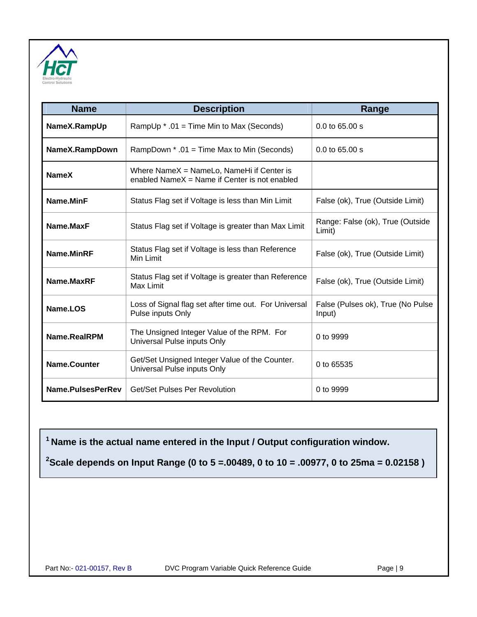<span id="page-8-0"></span>

| <b>Name</b>         | <b>Description</b>                                                                         | Range                                       |
|---------------------|--------------------------------------------------------------------------------------------|---------------------------------------------|
| NameX.RampUp        | RampUp * .01 = Time Min to Max (Seconds)                                                   | $0.0$ to 65.00 s                            |
| NameX.RampDown      | RampDown * .01 = Time Max to Min (Seconds)                                                 | $0.0$ to 65.00 s                            |
| <b>NameX</b>        | Where NameX = NameLo, NameHi if Center is<br>enabled NameX = Name if Center is not enabled |                                             |
| Name.MinF           | Status Flag set if Voltage is less than Min Limit                                          | False (ok), True (Outside Limit)            |
| Name.MaxF           | Status Flag set if Voltage is greater than Max Limit                                       | Range: False (ok), True (Outside<br>Limit)  |
| Name.MinRF          | Status Flag set if Voltage is less than Reference<br>Min Limit                             | False (ok), True (Outside Limit)            |
| Name.MaxRF          | Status Flag set if Voltage is greater than Reference<br>Max Limit                          | False (ok), True (Outside Limit)            |
| Name.LOS            | Loss of Signal flag set after time out. For Universal<br>Pulse inputs Only                 | False (Pulses ok), True (No Pulse<br>Input) |
| Name.RealRPM        | The Unsigned Integer Value of the RPM. For<br>Universal Pulse inputs Only                  | 0 to 9999                                   |
| <b>Name.Counter</b> | Get/Set Unsigned Integer Value of the Counter.<br>Universal Pulse inputs Only              | 0 to 65535                                  |
| Name.PulsesPerRev   | Get/Set Pulses Per Revolution                                                              | 0 to 9999                                   |

**1 Name is the actual name entered in the Input / Output configuration window.** 

**2 Scale depends on Input Range (0 to 5 =.00489, 0 to 10 = .00977, 0 to 25ma = 0.02158 )**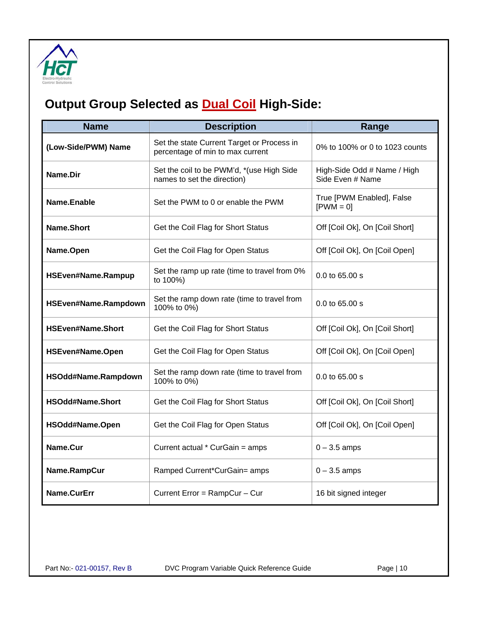<span id="page-9-0"></span>

# **Output Group Selected as <b>Dual Coil** High-Side:

| <b>Name</b>              | <b>Description</b>                                                             | Range                                           |
|--------------------------|--------------------------------------------------------------------------------|-------------------------------------------------|
| (Low-Side/PWM) Name      | Set the state Current Target or Process in<br>percentage of min to max current | 0% to 100% or 0 to 1023 counts                  |
| Name.Dir                 | Set the coil to be PWM'd, *(use High Side<br>names to set the direction)       | High-Side Odd # Name / High<br>Side Even # Name |
| Name.Enable              | Set the PWM to 0 or enable the PWM                                             | True [PWM Enabled], False<br>$[PWM = 0]$        |
| Name.Short               | Get the Coil Flag for Short Status                                             | Off [Coil Ok], On [Coil Short]                  |
| Name.Open                | Get the Coil Flag for Open Status                                              | Off [Coil Ok], On [Coil Open]                   |
| HSEven#Name.Rampup       | Set the ramp up rate (time to travel from 0%<br>to 100%)                       | 0.0 to 65.00 s                                  |
| HSEven#Name.Rampdown     | Set the ramp down rate (time to travel from<br>100% to 0%)                     | 0.0 to 65.00 s                                  |
| <b>HSEven#Name.Short</b> | Get the Coil Flag for Short Status                                             | Off [Coil Ok], On [Coil Short]                  |
| HSEven#Name.Open         | Get the Coil Flag for Open Status                                              | Off [Coil Ok], On [Coil Open]                   |
| HSOdd#Name.Rampdown      | Set the ramp down rate (time to travel from<br>100% to 0%)                     | 0.0 to 65.00 s                                  |
| HSOdd#Name.Short         | Get the Coil Flag for Short Status                                             | Off [Coil Ok], On [Coil Short]                  |
| HSOdd#Name.Open          | Get the Coil Flag for Open Status                                              | Off [Coil Ok], On [Coil Open]                   |
| Name.Cur                 | Current actual * CurGain = amps                                                | $0 - 3.5$ amps                                  |
| Name.RampCur             | Ramped Current*CurGain= amps                                                   | $0 - 3.5$ amps                                  |
| Name.CurErr              | Current Error = RampCur - Cur                                                  | 16 bit signed integer                           |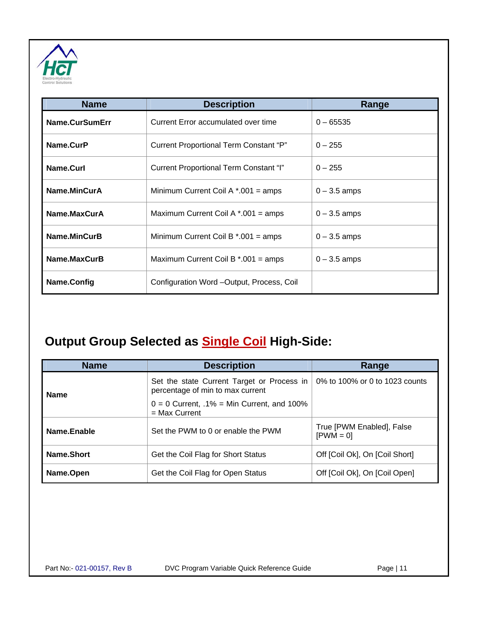<span id="page-10-0"></span>

| <b>Name</b>    | <b>Description</b>                         | Range          |
|----------------|--------------------------------------------|----------------|
| Name.CurSumErr | Current Error accumulated over time        | $0 - 65535$    |
| Name.CurP      | Current Proportional Term Constant "P"     | $0 - 255$      |
| Name.Curl      | Current Proportional Term Constant "I"     | $0 - 255$      |
| Name.MinCurA   | Minimum Current Coil A $*$ .001 = amps     | $0 - 3.5$ amps |
| Name.MaxCurA   | Maximum Current Coil A $*$ .001 = amps     | $0 - 3.5$ amps |
| Name.MinCurB   | Minimum Current Coil B $*$ .001 = amps     | $0 - 3.5$ amps |
| Name.MaxCurB   | Maximum Current Coil B $*$ .001 = amps     | $0 - 3.5$ amps |
| Name.Config    | Configuration Word - Output, Process, Coil |                |

## **Output Group Selected as Single Coil High-Side:**

| <b>Name</b> | <b>Description</b>                                                             | Range                                    |
|-------------|--------------------------------------------------------------------------------|------------------------------------------|
| <b>Name</b> | Set the state Current Target or Process in<br>percentage of min to max current | 0% to 100% or 0 to 1023 counts           |
|             | $0 = 0$ Current, .1% = Min Current, and 100%<br>$=$ Max Current                |                                          |
| Name.Enable | Set the PWM to 0 or enable the PWM                                             | True [PWM Enabled], False<br>$[PWM = 0]$ |
| Name.Short  | Get the Coil Flag for Short Status                                             | Off [Coil Ok], On [Coil Short]           |
| Name.Open   | Get the Coil Flag for Open Status                                              | Off [Coil Ok], On [Coil Open]            |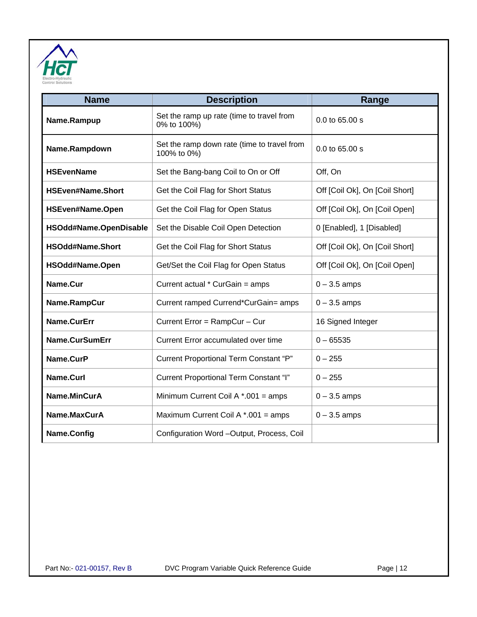<span id="page-11-0"></span>

| <b>Name</b>              | <b>Description</b>                                         | Range                          |
|--------------------------|------------------------------------------------------------|--------------------------------|
| Name.Rampup              | Set the ramp up rate (time to travel from<br>0% to 100%)   | 0.0 to 65.00 s                 |
| Name.Rampdown            | Set the ramp down rate (time to travel from<br>100% to 0%) | 0.0 to 65.00 s                 |
| <b>HSEvenName</b>        | Set the Bang-bang Coil to On or Off                        | Off, On                        |
| <b>HSEven#Name.Short</b> | Get the Coil Flag for Short Status                         | Off [Coil Ok], On [Coil Short] |
| HSEven#Name.Open         | Get the Coil Flag for Open Status                          | Off [Coil Ok], On [Coil Open]  |
| HSOdd#Name.OpenDisable   | Set the Disable Coil Open Detection                        | 0 [Enabled], 1 [Disabled]      |
| <b>HSOdd#Name.Short</b>  | Get the Coil Flag for Short Status                         | Off [Coil Ok], On [Coil Short] |
| HSOdd#Name.Open          | Get/Set the Coil Flag for Open Status                      | Off [Coil Ok], On [Coil Open]  |
| Name.Cur                 | Current actual * CurGain = amps                            | $0 - 3.5$ amps                 |
| Name.RampCur             | Current ramped Currend*CurGain= amps                       | $0 - 3.5$ amps                 |
| Name.CurErr              | Current Error = RampCur - Cur                              | 16 Signed Integer              |
| Name.CurSumErr           | Current Error accumulated over time                        | $0 - 65535$                    |
| Name.CurP                | Current Proportional Term Constant "P"                     | $0 - 255$                      |
| Name.Curl                | Current Proportional Term Constant "I"                     | $0 - 255$                      |
| Name.MinCurA             | Minimum Current Coil A $*$ .001 = amps                     | $0 - 3.5$ amps                 |
| Name.MaxCurA             | Maximum Current Coil A $*$ .001 = amps                     | $0 - 3.5$ amps                 |
| Name.Config              | Configuration Word -Output, Process, Coil                  |                                |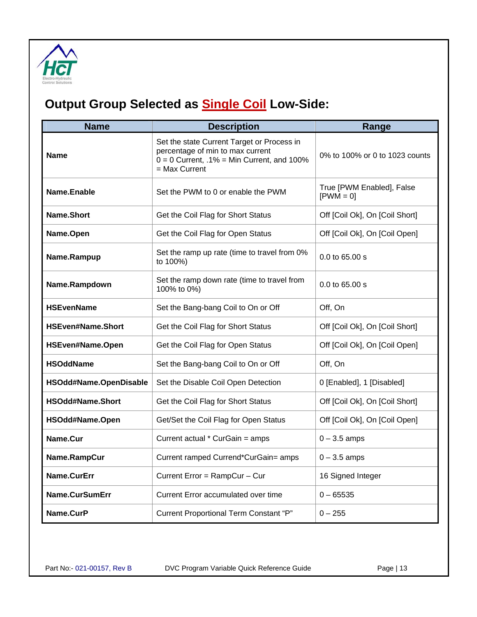<span id="page-12-0"></span>

# **Output Group Selected as Single Coil Low-Side:**

| <b>Name</b>              | <b>Description</b>                                                                                                                              | Range                                    |  |
|--------------------------|-------------------------------------------------------------------------------------------------------------------------------------------------|------------------------------------------|--|
| <b>Name</b>              | Set the state Current Target or Process in<br>percentage of min to max current<br>$0 = 0$ Current, .1% = Min Current, and 100%<br>= Max Current | 0% to 100% or 0 to 1023 counts           |  |
| Name.Enable              | Set the PWM to 0 or enable the PWM                                                                                                              | True [PWM Enabled], False<br>$[PWM = 0]$ |  |
| Name.Short               | Get the Coil Flag for Short Status                                                                                                              | Off [Coil Ok], On [Coil Short]           |  |
| Name.Open                | Get the Coil Flag for Open Status                                                                                                               | Off [Coil Ok], On [Coil Open]            |  |
| Name.Rampup              | Set the ramp up rate (time to travel from 0%<br>to 100%)                                                                                        | 0.0 to 65.00 s                           |  |
| Name.Rampdown            | Set the ramp down rate (time to travel from<br>100% to 0%)                                                                                      | $0.0$ to 65.00 s                         |  |
| <b>HSEvenName</b>        | Set the Bang-bang Coil to On or Off                                                                                                             | Off, On                                  |  |
| <b>HSEven#Name.Short</b> | Get the Coil Flag for Short Status                                                                                                              | Off [Coil Ok], On [Coil Short]           |  |
| HSEven#Name.Open         | Get the Coil Flag for Open Status                                                                                                               | Off [Coil Ok], On [Coil Open]            |  |
| <b>HSOddName</b>         | Set the Bang-bang Coil to On or Off                                                                                                             | Off, On                                  |  |
| HSOdd#Name.OpenDisable   | Set the Disable Coil Open Detection                                                                                                             | 0 [Enabled], 1 [Disabled]                |  |
| HSOdd#Name.Short         | Get the Coil Flag for Short Status                                                                                                              | Off [Coil Ok], On [Coil Short]           |  |
| HSOdd#Name.Open          | Get/Set the Coil Flag for Open Status                                                                                                           | Off [Coil Ok], On [Coil Open]            |  |
| Name.Cur                 | Current actual * CurGain = amps                                                                                                                 | $0 - 3.5$ amps                           |  |
| Name.RampCur             | Current ramped Currend*CurGain= amps                                                                                                            | $0 - 3.5$ amps                           |  |
| Name.CurErr              | Current Error = RampCur - Cur                                                                                                                   | 16 Signed Integer                        |  |
| Name.CurSumErr           | Current Error accumulated over time                                                                                                             | $0 - 65535$                              |  |
| Name.CurP                | Current Proportional Term Constant "P"                                                                                                          | $0 - 255$                                |  |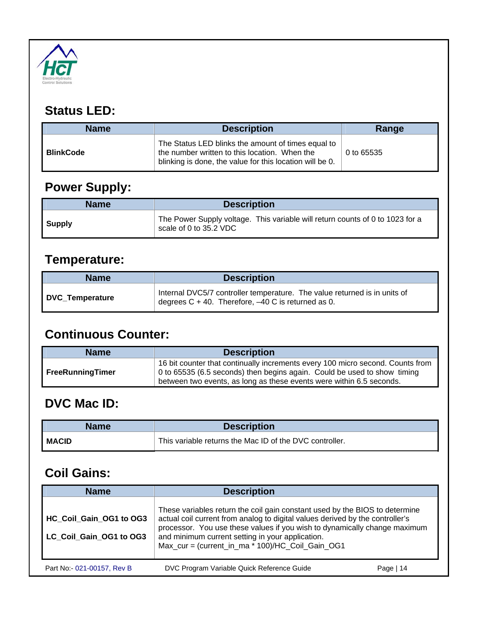<span id="page-13-0"></span>

### **Status LED:**

| <b>Description</b><br><b>Name</b> |                                                                                                                                                                 | Range      |
|-----------------------------------|-----------------------------------------------------------------------------------------------------------------------------------------------------------------|------------|
| <b>BlinkCode</b>                  | The Status LED blinks the amount of times equal to<br>the number written to this location. When the<br>blinking is done, the value for this location will be 0. | 0 to 65535 |

# **Power Supply:**

| <b>Name</b> | <b>Description</b>                                                                                      |  |
|-------------|---------------------------------------------------------------------------------------------------------|--|
| Supply      | The Power Supply voltage. This variable will return counts of 0 to 1023 for a<br>scale of 0 to 35.2 VDC |  |

## **Temperature:**

| <b>Name</b>     | <b>Description</b>                                                                                                                   |  |
|-----------------|--------------------------------------------------------------------------------------------------------------------------------------|--|
| DVC Temperature | Internal DVC5/7 controller temperature. The value returned is in units of<br>degrees $C + 40$ . Therefore, $-40$ C is returned as 0. |  |

#### **Continuous Counter:**

| <b>Name</b>      | <b>Description</b>                                                                                                                                                                                                                 |  |
|------------------|------------------------------------------------------------------------------------------------------------------------------------------------------------------------------------------------------------------------------------|--|
| FreeRunningTimer | 16 bit counter that continually increments every 100 micro second. Counts from<br>0 to 65535 (6.5 seconds) then begins again. Could be used to show timing<br>between two events, as long as these events were within 6.5 seconds. |  |

#### **DVC Mac ID:**

| <b>Name</b>  | <b>Description</b>                                      |  |
|--------------|---------------------------------------------------------|--|
| <b>MACID</b> | This variable returns the Mac ID of the DVC controller. |  |

#### **Coil Gains:**

| <b>Name</b>                                        | <b>Description</b>                                                                                                                                                                                                                                                                                                                                |           |
|----------------------------------------------------|---------------------------------------------------------------------------------------------------------------------------------------------------------------------------------------------------------------------------------------------------------------------------------------------------------------------------------------------------|-----------|
| HC Coil Gain OG1 to OG3<br>LC Coil Gain OG1 to OG3 | These variables return the coil gain constant used by the BIOS to determine<br>actual coil current from analog to digital values derived by the controller's<br>processor. You use these values if you wish to dynamically change maximum<br>and minimum current setting in your application.<br>Max_cur = (current_in_ma * 100)/HC_Coil_Gain_OG1 |           |
| Part No:- 021-00157, Rev B                         | DVC Program Variable Quick Reference Guide                                                                                                                                                                                                                                                                                                        | Page   14 |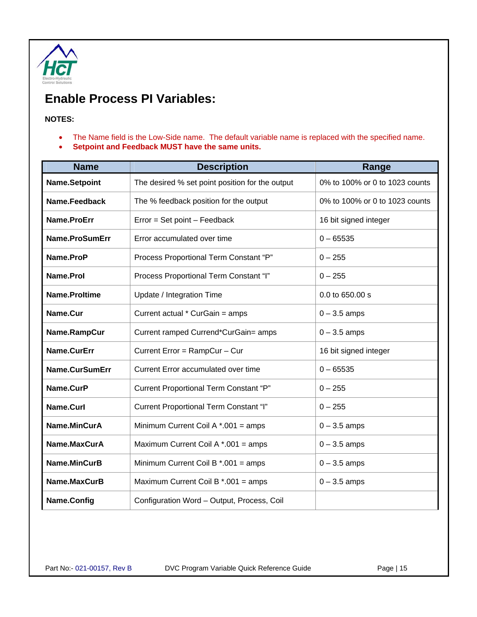<span id="page-14-0"></span>

#### **Enable Process PI Variables:**

#### **NOTES:**

- The Name field is the Low-Side name. The default variable name is replaced with the specified name.
- **Setpoint and Feedback MUST have the same units.**

| <b>Name</b>    | <b>Description</b>                              | Range                          |  |
|----------------|-------------------------------------------------|--------------------------------|--|
| Name.Setpoint  | The desired % set point position for the output | 0% to 100% or 0 to 1023 counts |  |
| Name.Feedback  | The % feedback position for the output          | 0% to 100% or 0 to 1023 counts |  |
| Name.ProErr    | Error = Set point - Feedback                    | 16 bit signed integer          |  |
| Name.ProSumErr | Error accumulated over time                     | $0 - 65535$                    |  |
| Name.ProP      | Process Proportional Term Constant "P"          | $0 - 255$                      |  |
| Name.Prol      | Process Proportional Term Constant "I"          | $0 - 255$                      |  |
| Name.Proltime  | Update / Integration Time                       | 0.0 to 650.00 s                |  |
| Name.Cur       | Current actual * CurGain = amps                 | $0 - 3.5$ amps                 |  |
| Name.RampCur   | Current ramped Currend*CurGain= amps            | $0 - 3.5$ amps                 |  |
| Name.CurErr    | Current Error = RampCur - Cur                   | 16 bit signed integer          |  |
| Name.CurSumErr | Current Error accumulated over time             | $0 - 65535$                    |  |
| Name.CurP      | Current Proportional Term Constant "P"          | $0 - 255$                      |  |
| Name.Curl      | Current Proportional Term Constant "I"          | $0 - 255$                      |  |
| Name.MinCurA   | Minimum Current Coil A $*$ .001 = amps          | $0 - 3.5$ amps                 |  |
| Name.MaxCurA   | Maximum Current Coil A *.001 = amps             | $0 - 3.5$ amps                 |  |
| Name.MinCurB   | Minimum Current Coil B $*$ .001 = amps          | $0 - 3.5$ amps                 |  |
| Name.MaxCurB   | Maximum Current Coil B $*$ .001 = amps          | $0 - 3.5$ amps                 |  |
| Name.Config    | Configuration Word - Output, Process, Coil      |                                |  |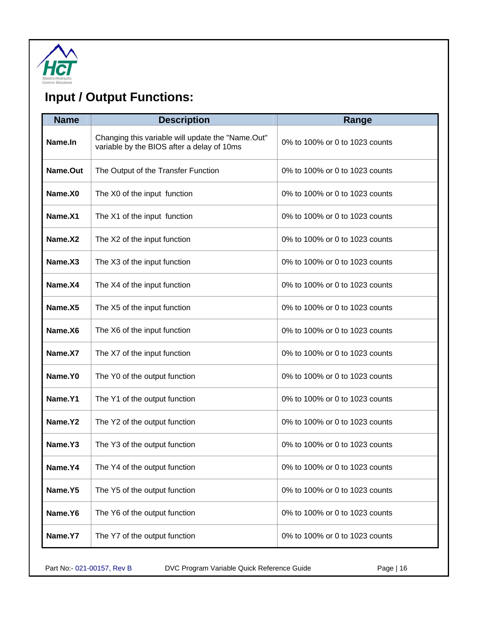<span id="page-15-0"></span>

# **Input / Output Functions:**

| <b>Name</b>         | <b>Description</b>                                                                              | Range                          |
|---------------------|-------------------------------------------------------------------------------------------------|--------------------------------|
| Name.In             | Changing this variable will update the "Name.Out"<br>variable by the BIOS after a delay of 10ms | 0% to 100% or 0 to 1023 counts |
| Name.Out            | The Output of the Transfer Function                                                             | 0% to 100% or 0 to 1023 counts |
| Name.X0             | The X0 of the input function                                                                    | 0% to 100% or 0 to 1023 counts |
| Name <sub>.X1</sub> | The X1 of the input function                                                                    | 0% to 100% or 0 to 1023 counts |
| Name <sub>.X2</sub> | The X2 of the input function                                                                    | 0% to 100% or 0 to 1023 counts |
| Name <sub>.X3</sub> | The X3 of the input function                                                                    | 0% to 100% or 0 to 1023 counts |
| Name <sub>.X4</sub> | The X4 of the input function                                                                    | 0% to 100% or 0 to 1023 counts |
| Name <sub>.X5</sub> | The X5 of the input function                                                                    | 0% to 100% or 0 to 1023 counts |
| Name.X6             | The X6 of the input function                                                                    | 0% to 100% or 0 to 1023 counts |
| Name <sub>.X7</sub> | The X7 of the input function                                                                    | 0% to 100% or 0 to 1023 counts |
| Name.Y0             | The Y0 of the output function                                                                   | 0% to 100% or 0 to 1023 counts |
| Name <sub>.Y1</sub> | The Y1 of the output function                                                                   | 0% to 100% or 0 to 1023 counts |
| Name.Y2             | The Y2 of the output function                                                                   | 0% to 100% or 0 to 1023 counts |
| Name.Y3             | The Y3 of the output function                                                                   | 0% to 100% or 0 to 1023 counts |
| Name.Y4             | The Y4 of the output function                                                                   | 0% to 100% or 0 to 1023 counts |
| Name.Y5             | The Y5 of the output function                                                                   | 0% to 100% or 0 to 1023 counts |
| Name.Y6             | The Y6 of the output function                                                                   | 0% to 100% or 0 to 1023 counts |
| Name.Y7             | The Y7 of the output function                                                                   | 0% to 100% or 0 to 1023 counts |

Part No:- 021-00157, Rev B DVC Program Variable Quick Reference Guide Page | 16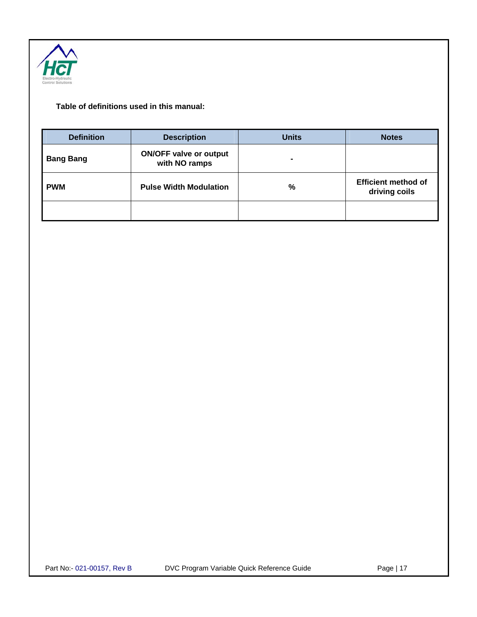

#### **Table of definitions used in this manual:**

| <b>Definition</b> | <b>Description</b>                             | <b>Units</b>   | <b>Notes</b>                                |
|-------------------|------------------------------------------------|----------------|---------------------------------------------|
| <b>Bang Bang</b>  | <b>ON/OFF valve or output</b><br>with NO ramps | $\blacksquare$ |                                             |
| <b>PWM</b>        | <b>Pulse Width Modulation</b>                  | %              | <b>Efficient method of</b><br>driving coils |
|                   |                                                |                |                                             |